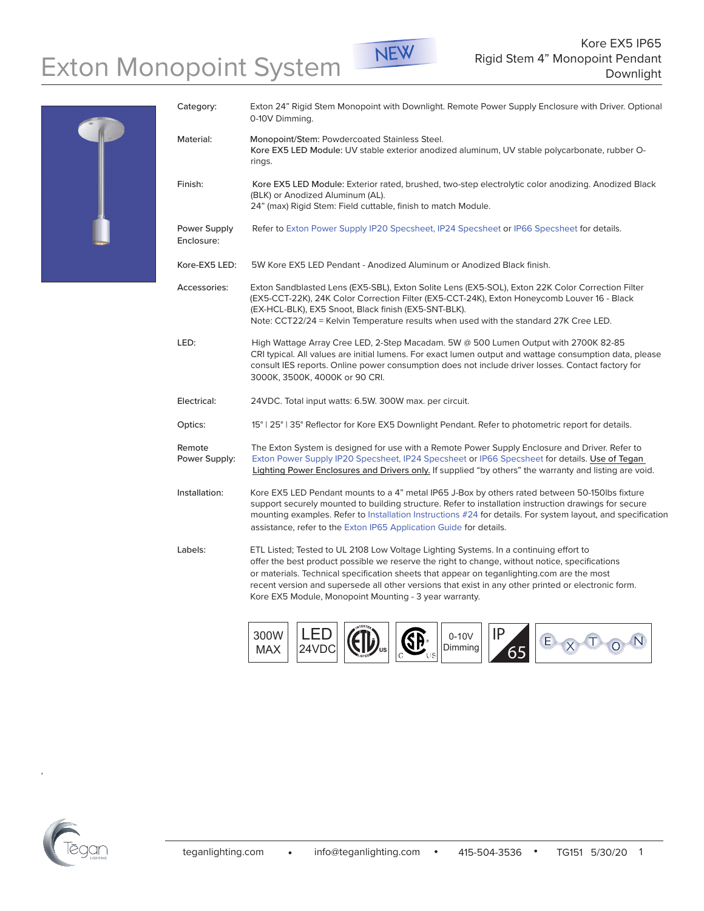## Exton Monopoint System NEW Rigid Stem 4" Monopoint Pendant Downlight





| Category:                  | Exton 24" Rigid Stem Monopoint with Downlight. Remote Power Supply Enclosure with Driver. Optional<br>0-10V Dimming.                                                                                                                                                                                                                                                                                                                                   |
|----------------------------|--------------------------------------------------------------------------------------------------------------------------------------------------------------------------------------------------------------------------------------------------------------------------------------------------------------------------------------------------------------------------------------------------------------------------------------------------------|
| Material:                  | Monopoint/Stem: Powdercoated Stainless Steel.<br>Kore EX5 LED Module: UV stable exterior anodized aluminum, UV stable polycarbonate, rubber O-<br>rings.                                                                                                                                                                                                                                                                                               |
| Finish:                    | Kore EX5 LED Module: Exterior rated, brushed, two-step electrolytic color anodizing. Anodized Black<br>(BLK) or Anodized Aluminum (AL).<br>24" (max) Rigid Stem: Field cuttable, finish to match Module.                                                                                                                                                                                                                                               |
| Power Supply<br>Enclosure: | Refer to Exton Power Supply IP20 Specsheet, IP24 Specsheet or IP66 Specsheet for details.                                                                                                                                                                                                                                                                                                                                                              |
| Kore-EX5 LED:              | 5W Kore EX5 LED Pendant - Anodized Aluminum or Anodized Black finish.                                                                                                                                                                                                                                                                                                                                                                                  |
| Accessories:               | Exton Sandblasted Lens (EX5-SBL), Exton Solite Lens (EX5-SOL), Exton 22K Color Correction Filter<br>(EX5-CCT-22K), 24K Color Correction Filter (EX5-CCT-24K), Exton Honeycomb Louver 16 - Black<br>(EX-HCL-BLK), EX5 Snoot, Black finish (EX5-SNT-BLK).<br>Note: CCT22/24 = Kelvin Temperature results when used with the standard 27K Cree LED.                                                                                                       |
| LED:                       | High Wattage Array Cree LED, 2-Step Macadam. 5W @ 500 Lumen Output with 2700K 82-85<br>CRI typical. All values are initial lumens. For exact lumen output and wattage consumption data, please<br>consult IES reports. Online power consumption does not include driver losses. Contact factory for<br>3000K, 3500K, 4000K or 90 CRI.                                                                                                                  |
| Electrical:                | 24VDC. Total input watts: 6.5W. 300W max. per circuit.                                                                                                                                                                                                                                                                                                                                                                                                 |
| Optics:                    | 15°   25°   35° Reflector for Kore EX5 Downlight Pendant. Refer to photometric report for details.                                                                                                                                                                                                                                                                                                                                                     |
| Remote<br>Power Supply:    | The Exton System is designed for use with a Remote Power Supply Enclosure and Driver. Refer to<br>Exton Power Supply IP20 Specsheet, IP24 Specsheet or IP66 Specsheet for details. Use of Tegan<br>Lighting Power Enclosures and Drivers only. If supplied "by others" the warranty and listing are void.                                                                                                                                              |
| Installation:              | Kore EX5 LED Pendant mounts to a 4" metal IP65 J-Box by others rated between 50-150lbs fixture<br>support securely mounted to building structure. Refer to installation instruction drawings for secure<br>mounting examples. Refer to Installation Instructions #24 for details. For system layout, and specification<br>assistance, refer to the Exton IP65 Application Guide for details.                                                           |
| Labels:                    | ETL Listed; Tested to UL 2108 Low Voltage Lighting Systems. In a continuing effort to<br>offer the best product possible we reserve the right to change, without notice, specifications<br>or materials. Technical specification sheets that appear on teganlighting.com are the most<br>recent version and supersede all other versions that exist in any other printed or electronic form.<br>Kore EX5 Module, Monopoint Mounting - 3 year warranty. |





415-504-3536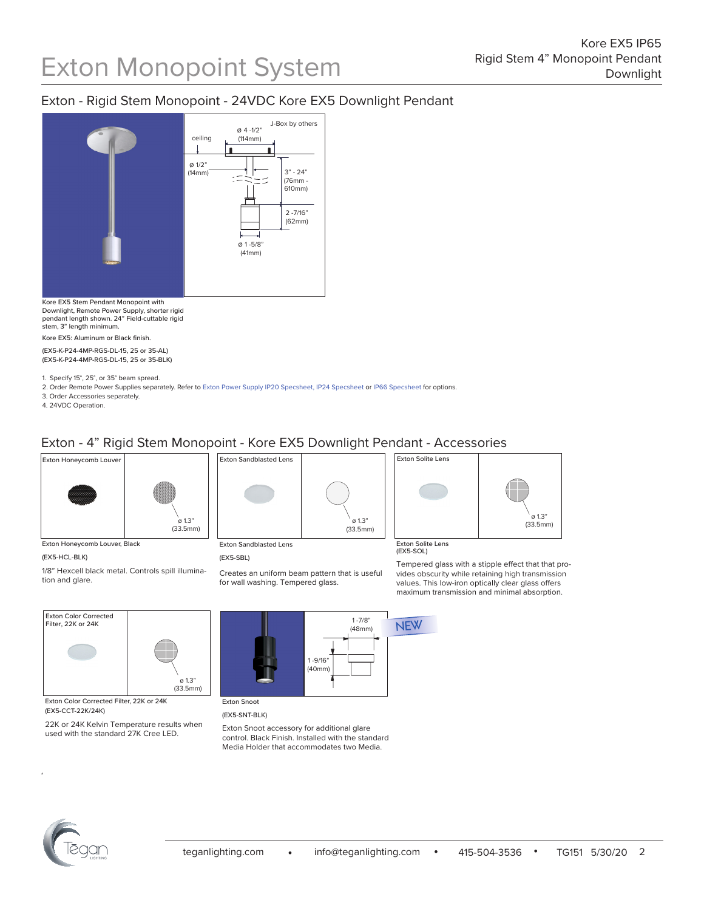## Exton - Rigid Stem Monopoint - 24VDC Kore EX5 Downlight Pendant



ø 1.3"

Kore EX5 Stem Pendant Monopoint with Downlight, Remote Power Supply, shorter rigid pendant length shown. 24" Field-cuttable rigid stem, 3" length minimum.

Kore EX5: Aluminum or Black finish.

(EX5-K-P24-4MP-RGS-DL-15, 25 or 35-AL) (EX5-K-P24-4MP-RGS-DL-15, 25 or 35-BLK)

1. Specify 15°, 25°, or 35° beam spread.

2. Order Remote Power Supplies separately. Refer to [Exton Power Supply IP20 Specsheet](http://teganlighting.com/images/PDFs/specsheets/EXTON/Power_Supplies_IP20-Specsheet_115.pdf), [IP24 Specsheet](http://teganlighting.com/images/PDFs/specsheets/EXTON/Power_Supplies_IP24-Specsheet_116.pdf) or [IP66 Specsheet](http://teganlighting.com/images/PDFs/specsheets/EXTON/Power_Supplies_IP66-Specsheet_117.pdf) for options.

3. Order Accessories separately.

4. 24VDC Operation.

## Exton - 4" Rigid Stem Monopoint - Kore EX5 Downlight Pendant - Accessories



Exton Honeycomb Louver, Black

Exton Color Corrected

## (EX5-HCL-BLK)

1/8" Hexcell black metal. Controls spill illumination and glare.



(EX5-SBL)

Creates an uniform beam pattern that is useful for wall washing. Tempered glass.



Exton Solite Lens (EX5-SOL)

ø 1.3" (33.5mm)

> Tempered glass with a stipple effect that that provides obscurity while retaining high transmission values. This low-iron optically clear glass offers maximum transmission and minimal absorption.



Exton Color Corrected Filter, 22K or 24K (EX5-CCT-22K/24K)

22K or 24K Kelvin Temperature results when used with the standard 27K Cree LED.



(EX5-SNT-BLK)

Exton Snoot accessory for additional glare control. Black Finish. Installed with the standard Media Holder that accommodates two Media.



415-504-3536